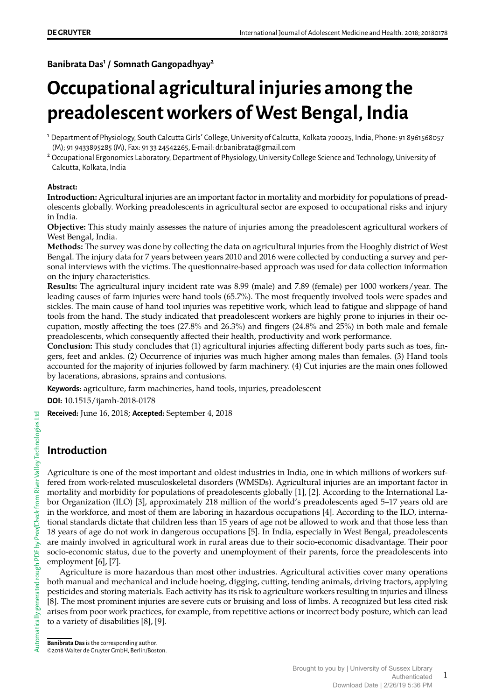**Banibrata Das<sup>1</sup> / Somnath Gangopadhyay<sup>2</sup>**

# **Occupational agricultural injuries among the preadolescent workers of West Bengal, India**

#### **Abstract:**

**Introduction:** Agricultural injuries are an important factor in mortality and morbidity for populations of preadolescents globally. Working preadolescents in agricultural sector are exposed to occupational risks and injury in India.

**Objective:** This study mainly assesses the nature of injuries among the preadolescent agricultural workers of West Bengal, India.

**Methods:** The survey was done by collecting the data on agricultural injuries from the Hooghly district of West Bengal. The injury data for 7 years between years 2010 and 2016 were collected by conducting a survey and personal interviews with the victims. The questionnaire-based approach was used for data collection information on the injury characteristics.

**Results:** The agricultural injury incident rate was 8.99 (male) and 7.89 (female) per 1000 workers/year. The leading causes of farm injuries were hand tools (65.7%). The most frequently involved tools were spades and sickles. The main cause of hand tool injuries was repetitive work, which lead to fatigue and slippage of hand tools from the hand. The study indicated that preadolescent workers are highly prone to injuries in their occupation, mostly affecting the toes (27.8% and 26.3%) and fingers (24.8% and 25%) in both male and female preadolescents, which consequently affected their health, productivity and work performance.

**Conclusion:** This study concludes that (1) agricultural injuries affecting different body parts such as toes, fingers, feet and ankles. (2) Occurrence of injuries was much higher among males than females. (3) Hand tools accounted for the majority of injuries followed by farm machinery. (4) Cut injuries are the main ones followed by lacerations, abrasions, sprains and contusions.

**Keywords:** agriculture, farm machineries, hand tools, injuries, preadolescent

**DOI:** 10.1515/ijamh-2018-0178

**Received:** June 16, 2018; **Accepted:** September 4, 2018

# **Introduction**

Agriculture is one of the most important and oldest industries in India, one in which millions of workers suffered from work-related musculoskeletal disorders (WMSDs). Agricultural injuries are an important factor in mortality and morbidity for populations of preadolescents globally [1], [2]. According to the International Labor Organization (ILO) [3], approximately 218 million of the world's preadolescents aged 5–17 years old are in the workforce, and most of them are laboring in hazardous occupations [4]. According to the ILO, international standards dictate that children less than 15 years of age not be allowed to work and that those less than 18 years of age do not work in dangerous occupations [5]. In India, especially in West Bengal, preadolescents are mainly involved in agricultural work in rural areas due to their socio-economic disadvantage. Their poor socio-economic status, due to the poverty and unemployment of their parents, force the preadolescents into employment [6], [7].

Agriculture is more hazardous than most other industries. Agricultural activities cover many operations both manual and mechanical and include hoeing, digging, cutting, tending animals, driving tractors, applying pesticides and storing materials. Each activity has its risk to agriculture workers resulting in injuries and illness [8]. The most prominent injuries are severe cuts or bruising and loss of limbs. A recognized but less cited risk arises from poor work practices, for example, from repetitive actions or incorrect body posture, which can lead to a variety of disabilities [8], [9].

<sup>1</sup> Department of Physiology, South Calcutta Girls' College, University of Calcutta, Kolkata 700025, India, Phone: 91 8961568057 (M); 91 9433895285 (M), Fax: 91 33 24542265, E-mail: dr.banibrata@gmail.com

<sup>&</sup>lt;sup>2</sup> Occupational Ergonomics Laboratory, Department of Physiology, University College Science and Technology, University of Calcutta, Kolkata, India

**Banibrata Das**is the corresponding author. ©2018 Walter de Gruyter GmbH, Berlin/Boston.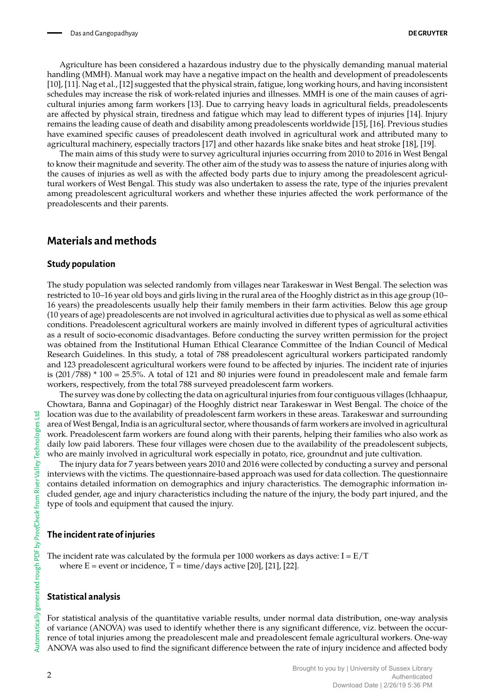Agriculture has been considered a hazardous industry due to the physically demanding manual material handling (MMH). Manual work may have a negative impact on the health and development of preadolescents [10], [11]. Nag et al., [12] suggested that the physical strain, fatigue, long working hours, and having inconsistent schedules may increase the risk of work-related injuries and illnesses. MMH is one of the main causes of agricultural injuries among farm workers [13]. Due to carrying heavy loads in agricultural fields, preadolescents are affected by physical strain, tiredness and fatigue which may lead to different types of injuries [14]. Injury remains the leading cause of death and disability among preadolescents worldwide [15], [16]. Previous studies have examined specific causes of preadolescent death involved in agricultural work and attributed many to agricultural machinery, especially tractors [17] and other hazards like snake bites and heat stroke [18], [19].

The main aims of this study were to survey agricultural injuries occurring from 2010 to 2016 in West Bengal to know their magnitude and severity. The other aim of the study was to assess the nature of injuries along with the causes of injuries as well as with the affected body parts due to injury among the preadolescent agricultural workers of West Bengal. This study was also undertaken to assess the rate, type of the injuries prevalent among preadolescent agricultural workers and whether these injuries affected the work performance of the preadolescents and their parents.

## **Materials and methods**

#### **Study population**

The study population was selected randomly from villages near Tarakeswar in West Bengal. The selection was restricted to 10–16 year old boys and girls living in the rural area of the Hooghly district as in this age group (10– 16 years) the preadolescents usually help their family members in their farm activities. Below this age group (10 years of age) preadolescents are not involved in agricultural activities due to physical as well as some ethical conditions. Preadolescent agricultural workers are mainly involved in different types of agricultural activities as a result of socio-economic disadvantages. Before conducting the survey written permission for the project was obtained from the Institutional Human Ethical Clearance Committee of the Indian Council of Medical Research Guidelines. In this study, a total of 788 preadolescent agricultural workers participated randomly and 123 preadolescent agricultural workers were found to be affected by injuries. The incident rate of injuries is (201/788) \* 100 = 25.5%. A total of 121 and 80 injuries were found in preadolescent male and female farm workers, respectively, from the total 788 surveyed preadolescent farm workers.

The survey was done by collecting the data on agricultural injuries from four contiguous villages (Ichhaapur, Chowtara, Banna and Gopinagar) of the Hooghly district near Tarakeswar in West Bengal. The choice of the location was due to the availability of preadolescent farm workers in these areas. Tarakeswar and surrounding area of West Bengal, India is an agricultural sector, where thousands of farm workers are involved in agricultural work. Preadolescent farm workers are found along with their parents, helping their families who also work as daily low paid laborers. These four villages were chosen due to the availability of the preadolescent subjects, who are mainly involved in agricultural work especially in potato, rice, groundnut and jute cultivation.

The injury data for 7 years between years 2010 and 2016 were collected by conducting a survey and personal interviews with the victims. The questionnaire-based approach was used for data collection. The questionnaire contains detailed information on demographics and injury characteristics. The demographic information included gender, age and injury characteristics including the nature of the injury, the body part injured, and the type of tools and equipment that caused the injury.

#### **The incident rate of injuries**

The incident rate was calculated by the formula per 1000 workers as days active:  $I = E/T$ where  $E =$  event or incidence,  $T =$  time/days active [20], [21], [22].

#### **Statistical analysis**

For statistical analysis of the quantitative variable results, under normal data distribution, one-way analysis of variance (ANOVA) was used to identify whether there is any significant difference, viz. between the occurrence of total injuries among the preadolescent male and preadolescent female agricultural workers. One-way ANOVA was also used to find the significant difference between the rate of injury incidence and affected body

모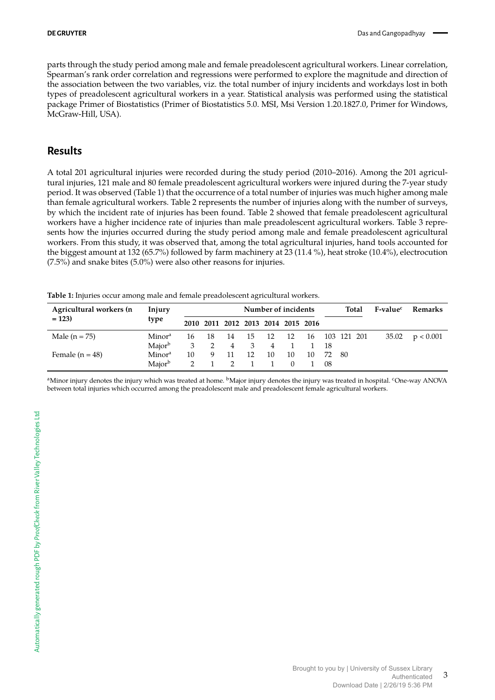parts through the study period among male and female preadolescent agricultural workers. Linear correlation, Spearman's rank order correlation and regressions were performed to explore the magnitude and direction of the association between the two variables, viz. the total number of injury incidents and workdays lost in both types of preadolescent agricultural workers in a year. Statistical analysis was performed using the statistical package Primer of Biostatistics (Primer of Biostatistics 5.0. MSI, Msi Version 1.20.1827.0, Primer for Windows, McGraw-Hill, USA).

#### **Results**

A total 201 agricultural injuries were recorded during the study period (2010–2016). Among the 201 agricultural injuries, 121 male and 80 female preadolescent agricultural workers were injured during the 7-year study period. It was observed (Table 1) that the occurrence of a total number of injuries was much higher among male than female agricultural workers. Table 2 represents the number of injuries along with the number of surveys, by which the incident rate of injuries has been found. Table 2 showed that female preadolescent agricultural workers have a higher incidence rate of injuries than male preadolescent agricultural workers. Table 3 represents how the injuries occurred during the study period among male and female preadolescent agricultural workers. From this study, it was observed that, among the total agricultural injuries, hand tools accounted for the biggest amount at 132 (65.7%) followed by farm machinery at 23 (11.4 %), heat stroke (10.4%), electrocution (7.5%) and snake bites (5.0%) were also other reasons for injuries.

**Table 1:** Injuries occur among male and female preadolescent agricultural workers.

| Agricultural workers (n | Injury             |    |       |                                    | Number of incidents      |      |     |                |     | Total | F-value <sup>c</sup> | Remarks |           |
|-------------------------|--------------------|----|-------|------------------------------------|--------------------------|------|-----|----------------|-----|-------|----------------------|---------|-----------|
| $= 123$                 | type               |    |       | 2010 2011 2012 2013 2014 2015 2016 |                          |      |     |                |     |       |                      |         |           |
| Male $(n = 75)$         | Minor <sup>a</sup> |    | 16 18 | $\cdot$ 14                         | - 15                     | - 12 | -12 | 16 103 121 201 |     |       |                      | 35.02   | p < 0.001 |
|                         | Major <sup>b</sup> | 3  |       | $\overline{4}$                     | $\overline{\phantom{a}}$ | 4 1  |     | 1 18           |     |       |                      |         |           |
| Female $(n = 48)$       | Minora             | 10 | 9 11  |                                    | 12                       | 10   | 10  | 10             | 72  | -80   |                      |         |           |
|                         | Maior <sup>b</sup> |    |       |                                    |                          |      |     |                | -08 |       |                      |         |           |

<sup>a</sup>Minor injury denotes the injury which was treated at home. <sup>b</sup>Major injury denotes the injury was treated in hospital. <sup>c</sup>One-way ANOVA between total injuries which occurred among the preadolescent male and preadolescent female agricultural workers.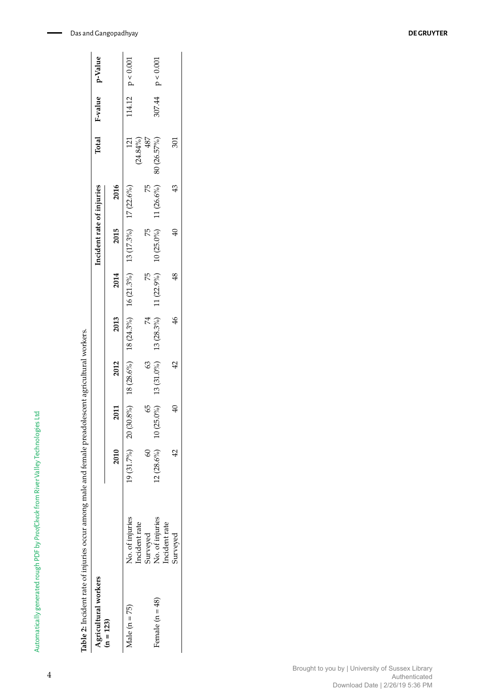| $12 (28.6%)$ $10 (25.0%)$ $13 (31.0%)$ $13 (28.3%)$ $11 (22.9%)$ $10 (25.0%)$ $11 (26.6%)$ $80 (26.57%)$<br>75<br>Incident rate of injuries<br>2016<br>$19(31.7%)$ $20(30.8%)$ $18(28.6%)$ $18(24.3%)$ $16(21.3%)$ $13(17.3%)$ $17(22.6%)$<br>43<br>2015<br>75<br>Ð<br>2014<br>75<br>$\frac{48}{5}$<br>2013<br>$\frac{46}{5}$<br>74<br>2012<br>63<br>$\mathcal{L}$<br>59<br>্ব<br>2011<br>2010<br>$\tilde{\epsilon}$<br>No. of injuries<br>No. of injuries<br>Incident rate<br>Incident rate<br>Surveyed<br>Agricultural workers<br>Female $(n = 48)$<br>Male $(n = 75)$<br>$(n = 123)$ | Table 2: Incident rate of injuries occur among male and female preadolescent agricultural workers. |          |  |  |  |                    |                       |                    |
|-----------------------------------------------------------------------------------------------------------------------------------------------------------------------------------------------------------------------------------------------------------------------------------------------------------------------------------------------------------------------------------------------------------------------------------------------------------------------------------------------------------------------------------------------------------------------------------------|----------------------------------------------------------------------------------------------------|----------|--|--|--|--------------------|-----------------------|--------------------|
|                                                                                                                                                                                                                                                                                                                                                                                                                                                                                                                                                                                         |                                                                                                    |          |  |  |  |                    | Total F-value p-Value |                    |
|                                                                                                                                                                                                                                                                                                                                                                                                                                                                                                                                                                                         |                                                                                                    |          |  |  |  |                    |                       |                    |
|                                                                                                                                                                                                                                                                                                                                                                                                                                                                                                                                                                                         |                                                                                                    |          |  |  |  | 121<br>$(24.84\%)$ |                       | 114.12 $p < 0.001$ |
|                                                                                                                                                                                                                                                                                                                                                                                                                                                                                                                                                                                         |                                                                                                    |          |  |  |  | 487                |                       |                    |
|                                                                                                                                                                                                                                                                                                                                                                                                                                                                                                                                                                                         |                                                                                                    |          |  |  |  |                    |                       | 307.44 $p < 0.001$ |
|                                                                                                                                                                                                                                                                                                                                                                                                                                                                                                                                                                                         |                                                                                                    | Surveyed |  |  |  | 301                |                       |                    |

Automatically generated rough PDF by *ProofCheck* from River Valley Technologies Ltd

Automatically generated rough PDF by ProofCheck from River Valley Technologies Ltd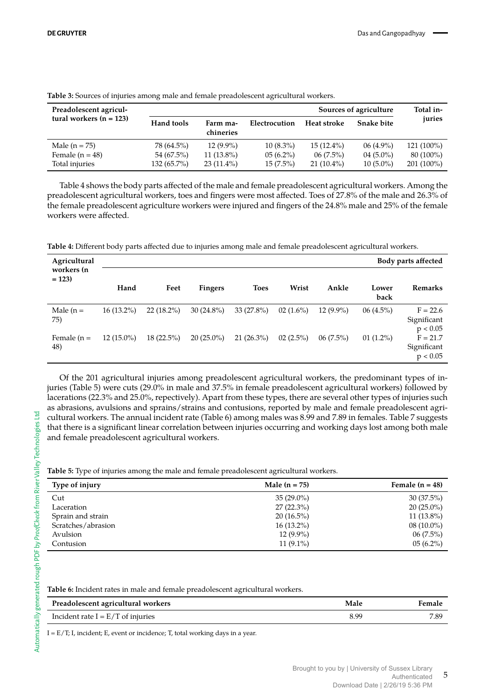| Preadolescent agricul-                                 |                                           |                                             |                                           |                                             | Sources of agriculture                    | Total in-                                 |
|--------------------------------------------------------|-------------------------------------------|---------------------------------------------|-------------------------------------------|---------------------------------------------|-------------------------------------------|-------------------------------------------|
| tural workers $(n = 123)$                              | Hand tools                                | Farm ma-<br>chineries                       | Electrocution                             | Heat stroke                                 | <b>Snake bite</b>                         | juries                                    |
| Male $(n = 75)$<br>Female $(n = 48)$<br>Total injuries | 78 (64.5%)<br>54 (67.5%)<br>$132(65.7\%)$ | $12(9.9\%)$<br>$11(13.8\%)$<br>$23(11.4\%)$ | $10(8.3\%)$<br>$05(6.2\%)$<br>$15(7.5\%)$ | $15(12.4\%)$<br>$06(7.5\%)$<br>$21(10.4\%)$ | $06(4.9\%)$<br>$04(5.0\%)$<br>$10(5.0\%)$ | 121 (100%)<br>$80(100\%)$<br>$201(100\%)$ |

**Table 3:** Sources of injuries among male and female preadolescent agricultural workers.

Table 4 shows the body parts affected of the male and female preadolescent agricultural workers. Among the preadolescent agricultural workers, toes and fingers were most affected. Toes of 27.8% of the male and 26.3% of the female preadolescent agriculture workers were injured and fingers of the 24.8% male and 25% of the female workers were affected.

**Table 4:** Different body parts affected due to injuries among male and female preadolescent agricultural workers.

| Agricultural<br>workers (n |              |              |              |              |             |             |               | Body parts affected                   |
|----------------------------|--------------|--------------|--------------|--------------|-------------|-------------|---------------|---------------------------------------|
| $= 123$                    | Hand         | Feet         | Fingers      | <b>Toes</b>  | Wrist       | Ankle       | Lower<br>back | <b>Remarks</b>                        |
| Male $(n =$<br>75)         | $16(13.2\%)$ | $22(18.2\%)$ | $30(24.8\%)$ | $33(27.8\%)$ | $02(1.6\%)$ | $12(9.9\%)$ | $06(4.5\%)$   | $F = 22.6$<br>Significant<br>p < 0.05 |
| Female $(n =$<br>48)       | $12(15.0\%)$ | $18(22.5\%)$ | $20(25.0\%)$ | $21(26.3\%)$ | $02(2.5\%)$ | $06(7.5\%)$ | $01(1.2\%)$   | $F = 21.7$<br>Significant<br>p < 0.05 |

Of the 201 agricultural injuries among preadolescent agricultural workers, the predominant types of injuries (Table 5) were cuts (29.0% in male and 37.5% in female preadolescent agricultural workers) followed by lacerations (22.3% and 25.0%, repectively). Apart from these types, there are several other types of injuries such as abrasions, avulsions and sprains/strains and contusions, reported by male and female preadolescent agricultural workers. The annual incident rate (Table 6) among males was 8.99 and 7.89 in females. Table 7 suggests that there is a significant linear correlation between injuries occurring and working days lost among both male and female preadolescent agricultural workers.

**Table 5:** Type of injuries among the male and female preadolescent agricultural workers.

| Type of injury     | Male $(n = 75)$ | Female $(n = 48)$ |
|--------------------|-----------------|-------------------|
| Cut                | $35(29.0\%)$    | $30(37.5\%)$      |
| Laceration         | $27(22.3\%)$    | $20(25.0\%)$      |
| Sprain and strain  | $20(16.5\%)$    | $11(13.8\%)$      |
| Scratches/abrasion | $16(13.2\%)$    | $08(10.0\%)$      |
| Avulsion           | $12(9.9\%)$     | $06(7.5\%)$       |
| Contusion          | $11(9.1\%)$     | $05(6.2\%)$       |

**Table 6:** Incident rates in male and female preadolescent agricultural workers.

| Preadolescent agricultural workers  | Male | Female |
|-------------------------------------|------|--------|
| Incident rate $I = E/T$ of injuries | 8.99 | 7.89   |

I = E/T; I, incident; E, event or incidence; T, total working days in a year.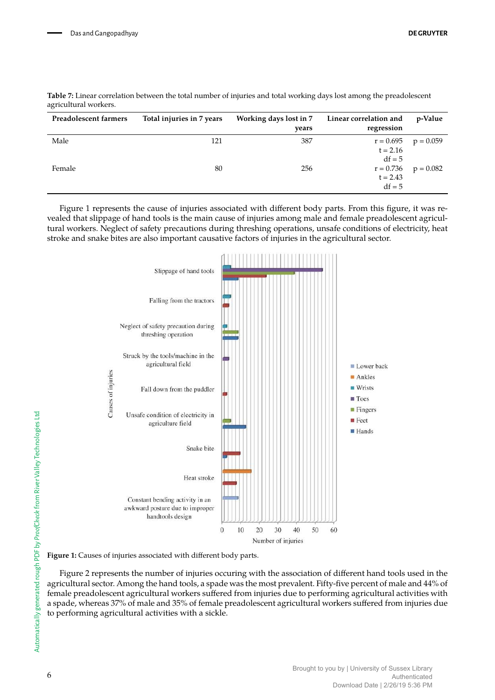| Preadolescent farmers | Total injuries in 7 years | Working days lost in 7<br>years | Linear correlation and<br>regression  | p-Value     |
|-----------------------|---------------------------|---------------------------------|---------------------------------------|-------------|
| Male                  | 121                       | 387                             | $r = 0.695$<br>$t = 2.16$<br>$df = 5$ | $p = 0.059$ |
| Female                | 80                        | 256                             | $r = 0.736$<br>$t = 2.43$<br>$df = 5$ | $p = 0.082$ |

| Table 7: Linear correlation between the total number of injuries and total working days lost among the preadolescent |  |  |
|----------------------------------------------------------------------------------------------------------------------|--|--|
| agricultural workers.                                                                                                |  |  |

Figure 1 represents the cause of injuries associated with different body parts. From this figure, it was revealed that slippage of hand tools is the main cause of injuries among male and female preadolescent agricultural workers. Neglect of safety precautions during threshing operations, unsafe conditions of electricity, heat stroke and snake bites are also important causative factors of injuries in the agricultural sector.



**Figure 1:** Causes of injuries associated with different body parts.

Figure 2 represents the number of injuries occuring with the association of different hand tools used in the agricultural sector. Among the hand tools, a spade was the most prevalent. Fifty-five percent of male and 44% of female preadolescent agricultural workers suffered from injuries due to performing agricultural activities with a spade, whereas 37% of male and 35% of female preadolescent agricultural workers suffered from injuries due to performing agricultural activities with a sickle.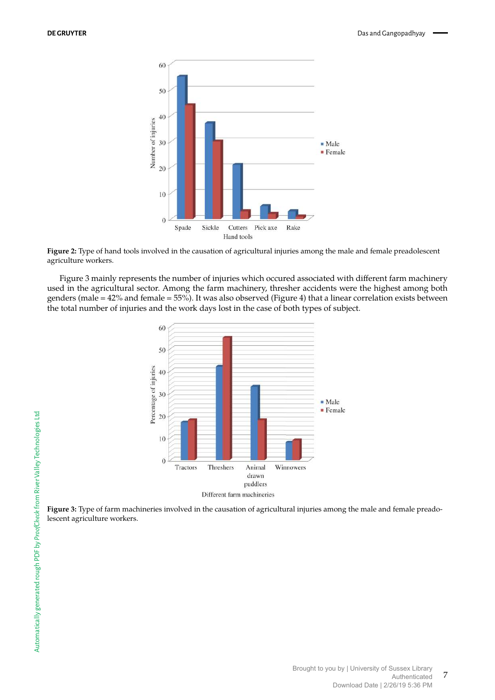

**Figure 2:** Type of hand tools involved in the causation of agricultural injuries among the male and female preadolescent agriculture workers.

Figure 3 mainly represents the number of injuries which occured associated with different farm machinery used in the agricultural sector. Among the farm machinery, thresher accidents were the highest among both genders (male = 42% and female = 55%). It was also observed (Figure 4) that a linear correlation exists between the total number of injuries and the work days lost in the case of both types of subject.



**Figure 3:** Type of farm machineries involved in the causation of agricultural injuries among the male and female preadolescent agriculture workers.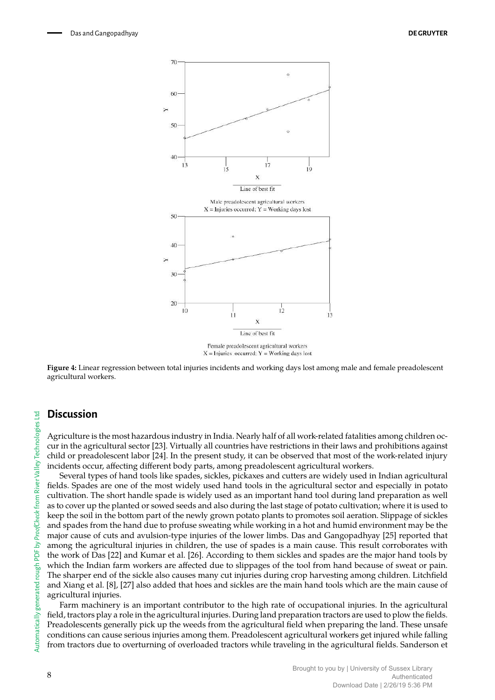

 $X =$ Injuries occurred;  $Y =$ Working days lost

**Figure 4:** Linear regression between total injuries incidents and working days lost among male and female preadolescent agricultural workers.

#### **Discussion**

Agriculture is the most hazardous industry in India. Nearly half of all work-related fatalities among children occur in the agricultural sector [23]. Virtually all countries have restrictions in their laws and prohibitions against child or preadolescent labor [24]. In the present study, it can be observed that most of the work-related injury incidents occur, affecting different body parts, among preadolescent agricultural workers.

Several types of hand tools like spades, sickles, pickaxes and cutters are widely used in Indian agricultural fields. Spades are one of the most widely used hand tools in the agricultural sector and especially in potato cultivation. The short handle spade is widely used as an important hand tool during land preparation as well as to cover up the planted or sowed seeds and also during the last stage of potato cultivation; where it is used to keep the soil in the bottom part of the newly grown potato plants to promotes soil aeration. Slippage of sickles and spades from the hand due to profuse sweating while working in a hot and humid environment may be the major cause of cuts and avulsion-type injuries of the lower limbs. Das and Gangopadhyay [25] reported that among the agricultural injuries in children, the use of spades is a main cause. This result corroborates with the work of Das [22] and Kumar et al. [26]. According to them sickles and spades are the major hand tools by which the Indian farm workers are affected due to slippages of the tool from hand because of sweat or pain. The sharper end of the sickle also causes many cut injuries during crop harvesting among children. Litchfield and Xiang et al. [8], [27] also added that hoes and sickles are the main hand tools which are the main cause of agricultural injuries.

Farm machinery is an important contributor to the high rate of occupational injuries. In the agricultural field, tractors play a role in the agricultural injuries. During land preparation tractors are used to plow the fields. Preadolescents generally pick up the weeds from the agricultural field when preparing the land. These unsafe conditions can cause serious injuries among them. Preadolescent agricultural workers get injured while falling from tractors due to overturning of overloaded tractors while traveling in the agricultural fields. Sanderson et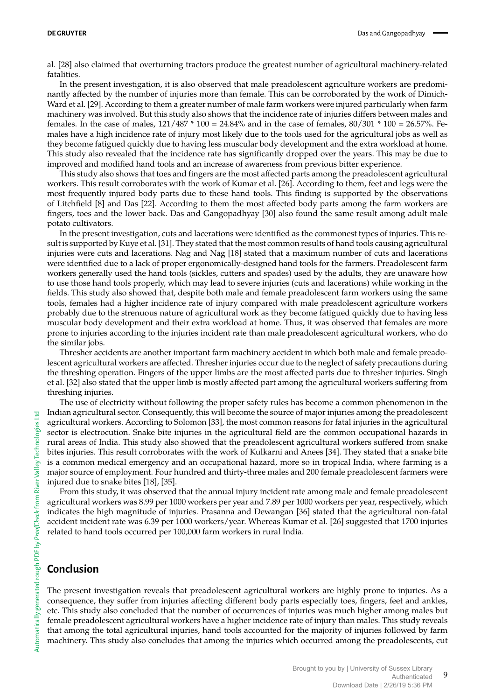al. [28] also claimed that overturning tractors produce the greatest number of agricultural machinery-related fatalities.

In the present investigation, it is also observed that male preadolescent agriculture workers are predominantly affected by the number of injuries more than female. This can be corroborated by the work of Dimich-Ward et al. [29]. According to them a greater number of male farm workers were injured particularly when farm machinery was involved. But this study also shows that the incidence rate of injuries differs between males and females. In the case of males,  $121/487 * 100 = 24.84\%$  and in the case of females,  $80/301 * 100 = 26.57\%$ . Females have a high incidence rate of injury most likely due to the tools used for the agricultural jobs as well as they become fatigued quickly due to having less muscular body development and the extra workload at home. This study also revealed that the incidence rate has significantly dropped over the years. This may be due to improved and modified hand tools and an increase of awareness from previous bitter experience.

This study also shows that toes and fingers are the most affected parts among the preadolescent agricultural workers. This result corroborates with the work of Kumar et al. [26]. According to them, feet and legs were the most frequently injured body parts due to these hand tools. This finding is supported by the observations of Litchfield [8] and Das [22]. According to them the most affected body parts among the farm workers are fingers, toes and the lower back. Das and Gangopadhyay [30] also found the same result among adult male potato cultivators.

In the present investigation, cuts and lacerations were identified as the commonest types of injuries. This result is supported by Kuye et al. [31]. They stated that the most common results of hand tools causing agricultural injuries were cuts and lacerations. Nag and Nag [18] stated that a maximum number of cuts and lacerations were identified due to a lack of proper ergonomically-designed hand tools for the farmers. Preadolescent farm workers generally used the hand tools (sickles, cutters and spades) used by the adults, they are unaware how to use those hand tools properly, which may lead to severe injuries (cuts and lacerations) while working in the fields. This study also showed that, despite both male and female preadolescent farm workers using the same tools, females had a higher incidence rate of injury compared with male preadolescent agriculture workers probably due to the strenuous nature of agricultural work as they become fatigued quickly due to having less muscular body development and their extra workload at home. Thus, it was observed that females are more prone to injuries according to the injuries incident rate than male preadolescent agricultural workers, who do the similar jobs.

Thresher accidents are another important farm machinery accident in which both male and female preadolescent agricultural workers are affected. Thresher injuries occur due to the neglect of safety precautions during the threshing operation. Fingers of the upper limbs are the most affected parts due to thresher injuries. Singh et al. [32] also stated that the upper limb is mostly affected part among the agricultural workers suffering from threshing injuries.

The use of electricity without following the proper safety rules has become a common phenomenon in the Indian agricultural sector. Consequently, this will become the source of major injuries among the preadolescent agricultural workers. According to Solomon [33], the most common reasons for fatal injuries in the agricultural sector is electrocution. Snake bite injuries in the agricultural field are the common occupational hazards in rural areas of India. This study also showed that the preadolescent agricultural workers suffered from snake bites injuries. This result corroborates with the work of Kulkarni and Anees [34]. They stated that a snake bite is a common medical emergency and an occupational hazard, more so in tropical India, where farming is a major source of employment. Four hundred and thirty-three males and 200 female preadolescent farmers were injured due to snake bites [18], [35].

From this study, it was observed that the annual injury incident rate among male and female preadolescent agricultural workers was 8.99 per 1000 workers per year and 7.89 per 1000 workers per year, respectively, which indicates the high magnitude of injuries. Prasanna and Dewangan [36] stated that the agricultural non-fatal accident incident rate was 6.39 per 1000 workers/year. Whereas Kumar et al. [26] suggested that 1700 injuries related to hand tools occurred per 100,000 farm workers in rural India.

## **Conclusion**

The present investigation reveals that preadolescent agricultural workers are highly prone to injuries. As a consequence, they suffer from injuries affecting different body parts especially toes, fingers, feet and ankles, etc. This study also concluded that the number of occurrences of injuries was much higher among males but female preadolescent agricultural workers have a higher incidence rate of injury than males. This study reveals that among the total agricultural injuries, hand tools accounted for the majority of injuries followed by farm machinery. This study also concludes that among the injuries which occurred among the preadolescents, cut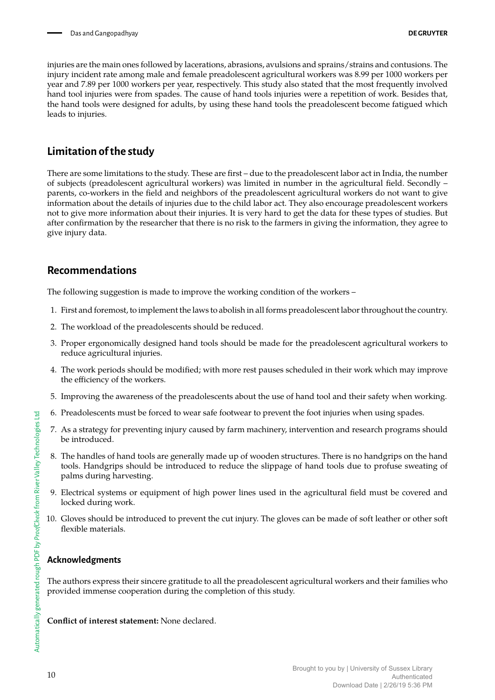injuries are the main ones followed by lacerations, abrasions, avulsions and sprains/strains and contusions. The injury incident rate among male and female preadolescent agricultural workers was 8.99 per 1000 workers per year and 7.89 per 1000 workers per year, respectively. This study also stated that the most frequently involved hand tool injuries were from spades. The cause of hand tools injuries were a repetition of work. Besides that, the hand tools were designed for adults, by using these hand tools the preadolescent become fatigued which leads to injuries.

## **Limitation of the study**

There are some limitations to the study. These are first – due to the preadolescent labor act in India, the number of subjects (preadolescent agricultural workers) was limited in number in the agricultural field. Secondly – parents, co-workers in the field and neighbors of the preadolescent agricultural workers do not want to give information about the details of injuries due to the child labor act. They also encourage preadolescent workers not to give more information about their injuries. It is very hard to get the data for these types of studies. But after confirmation by the researcher that there is no risk to the farmers in giving the information, they agree to give injury data.

## **Recommendations**

The following suggestion is made to improve the working condition of the workers –

- 1. First and foremost, to implement the laws to abolish in all forms preadolescent labor throughout the country.
- 2. The workload of the preadolescents should be reduced.
- 3. Proper ergonomically designed hand tools should be made for the preadolescent agricultural workers to reduce agricultural injuries.
- 4. The work periods should be modified; with more rest pauses scheduled in their work which may improve the efficiency of the workers.
- 5. Improving the awareness of the preadolescents about the use of hand tool and their safety when working.
- 6. Preadolescents must be forced to wear safe footwear to prevent the foot injuries when using spades.
- 7. As a strategy for preventing injury caused by farm machinery, intervention and research programs should be introduced.
- 8. The handles of hand tools are generally made up of wooden structures. There is no handgrips on the hand tools. Handgrips should be introduced to reduce the slippage of hand tools due to profuse sweating of palms during harvesting.
- 9. Electrical systems or equipment of high power lines used in the agricultural field must be covered and locked during work.
- 10. Gloves should be introduced to prevent the cut injury. The gloves can be made of soft leather or other soft flexible materials.

## **Acknowledgments**

The authors express their sincere gratitude to all the preadolescent agricultural workers and their families who provided immense cooperation during the completion of this study.

**Conflict of interest statement:** None declared.